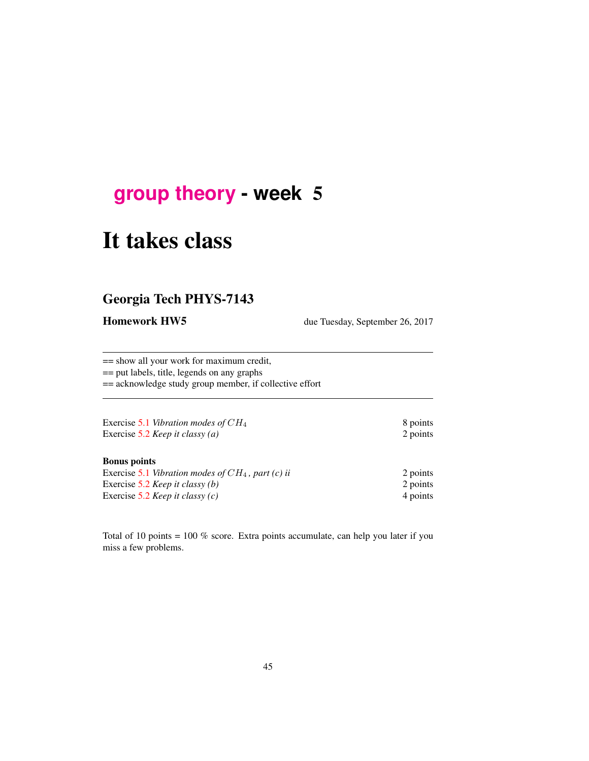# **[group theory](http://birdtracks.eu/courses/PHYS-7143-17/schedule.html) - week** 5

# It takes class

# Georgia Tech PHYS-7143

Homework HW5 due Tuesday, September 26, 2017

== show all your work for maximum credit, == put labels, title, legends on any graphs

== acknowledge study group member, if collective effort

| Exercise 5.1 Vibration modes of $CH_4$ | 8 points |
|----------------------------------------|----------|
| Exercise 5.2 Keep it classy (a)        | 2 points |

#### Bonus points

| Exercise 5.1 Vibration modes of $CH_4$ , part (c) ii | 2 points |
|------------------------------------------------------|----------|
| Exercise 5.2 <i>Keep it classy (b)</i>               | 2 points |
| Exercise 5.2 <i>Keep it classy (c)</i>               | 4 points |

Total of 10 points = 100 % score. Extra points accumulate, can help you later if you miss a few problems.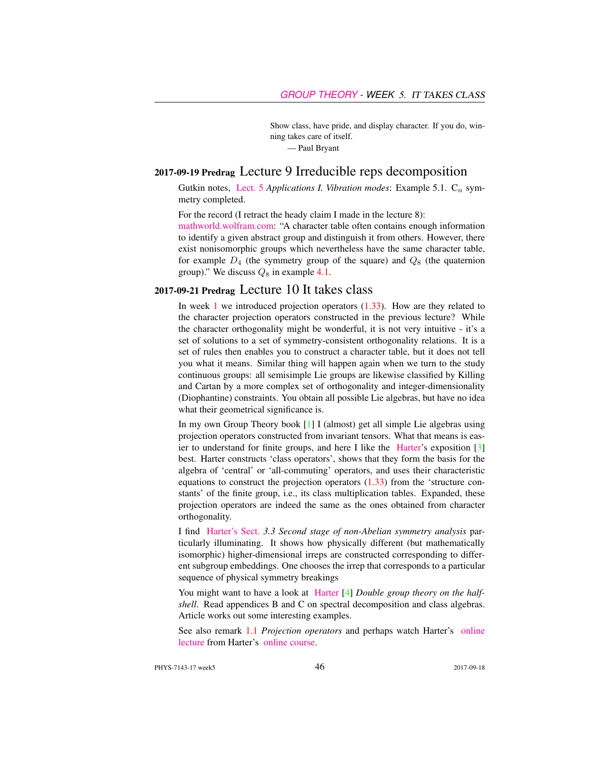Show class, have pride, and display character. If you do, winning takes care of itself.

— Paul Bryant

## 2017-09-19 Predrag Lecture 9 Irreducible reps decomposition

Gutkin notes, [Lect. 5](http://birdtracks.eu/courses/PHYS-7143-17/groups.pdf) *Applications I. Vibration modes*: Example 5.1.  $C_n$  symmetry completed.

For the record (I retract the heady claim I made in the lecture 8):

[mathworld.wolfram.com:](http://mathworld.wolfram.com/CharacterTable.html) "A character table often contains enough information to identify a given abstract group and distinguish it from others. However, there exist nonisomorphic groups which nevertheless have the same character table, for example  $D_4$  (the symmetry group of the square) and  $Q_8$  (the quaternion group)." We discuss  $Q_8$  in example 4.1.

#### 2017-09-21 Predrag Lecture 10 It takes class

In week  $1$  we introduced projection operators  $(1.33)$ . How are they related to the character projection operators constructed in the previous lecture? While the character orthogonality might be wonderful, it is not very intuitive - it's a set of solutions to a set of symmetry-consistent orthogonality relations. It is a set of rules then enables you to construct a character table, but it does not tell you what it means. Similar thing will happen again when we turn to the study continuous groups: all semisimple Lie groups are likewise classified by Killing and Cartan by a more complex set of orthogonality and integer-dimensionality (Diophantine) constraints. You obtain all possible Lie algebras, but have no idea what their geometrical significance is.

In my own Group Theory book [1] I (almost) get all simple Lie algebras using projection operators constructed from invariant tensors. What that means is easier to understand for finite groups, and here I like the [Harter'](http://www.uark.edu/ua/modphys/markup/PSDS_Info.html)s exposition [3] best. Harter constructs 'class operators', shows that they form the basis for the algebra of 'central' or 'all-commuting' operators, and uses their characteristic equations to construct the projection operators (1.33) from the 'structure constants' of the finite group, i.e., its class multiplication tables. Expanded, these projection operators are indeed the same as the ones obtained from character orthogonality.

I find [Harter's Sect.](http://www.uark.edu/ua/modphys/markup/PSDS_UnitsForceDL.php?fname=PSDS_Ch.3_(4.22.10).pdf) *3.3 Second stage of non-Abelian symmetry analysis* particularly illuminating. It shows how physically different (but mathematically isomorphic) higher-dimensional irreps are constructed corresponding to different subgroup embeddings. One chooses the irrep that corresponds to a particular sequence of physical symmetry breakings

You might want to have a look at [Harter](http://birdtracks.eu/library/Harper78a.pdf) [4] *Double group theory on the halfshell*. Read appendices B and C on spectral decomposition and class algebras. Article works out some interesting examples.

See also remark 1.1 *Projection operators* and perhaps watch Harter's [online](https://www.youtube.com/watch?v=jLO7-Pks0QM) [lecture](https://www.youtube.com/watch?v=jLO7-Pks0QM) from Harter's [online course.](http://www.uark.edu/ua/modphys/markup/GTQM_TitlePage_2015.html)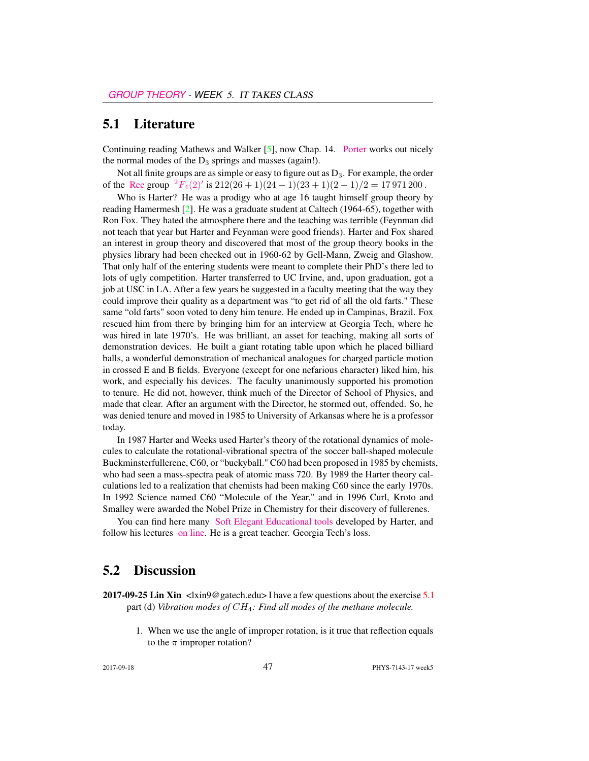## 5.1 Literature

Continuing reading Mathews and Walker [5], now Chap. 14. [Porter](http://chaosbook.org/~predrag/courses/PHYS-7143-08/Porter3-10.pdf) works out nicely the normal modes of the  $D_3$  springs and masses (again!).

Not all finite groups are as simple or easy to figure out as  $D_3$ . For example, the order of the [Ree](https://en.wikipedia.org/wiki/List_of_finite_simple_groups) group  ${}^{2}F_{4}(2)'$  ${}^{2}F_{4}(2)'$  ${}^{2}F_{4}(2)'$  is  $212(26 + 1)(24 - 1)(23 + 1)(2 - 1)/2 = 17971200$ .

Who is Harter? He was a prodigy who at age 16 taught himself group theory by reading Hamermesh [2]. He was a graduate student at Caltech (1964-65), together with Ron Fox. They hated the atmosphere there and the teaching was terrible (Feynman did not teach that year but Harter and Feynman were good friends). Harter and Fox shared an interest in group theory and discovered that most of the group theory books in the physics library had been checked out in 1960-62 by Gell-Mann, Zweig and Glashow. That only half of the entering students were meant to complete their PhD's there led to lots of ugly competition. Harter transferred to UC Irvine, and, upon graduation, got a job at USC in LA. After a few years he suggested in a faculty meeting that the way they could improve their quality as a department was "to get rid of all the old farts." These same "old farts" soon voted to deny him tenure. He ended up in Campinas, Brazil. Fox rescued him from there by bringing him for an interview at Georgia Tech, where he was hired in late 1970's. He was brilliant, an asset for teaching, making all sorts of demonstration devices. He built a giant rotating table upon which he placed billiard balls, a wonderful demonstration of mechanical analogues for charged particle motion in crossed E and B fields. Everyone (except for one nefarious character) liked him, his work, and especially his devices. The faculty unanimously supported his promotion to tenure. He did not, however, think much of the Director of School of Physics, and made that clear. After an argument with the Director, he stormed out, offended. So, he was denied tenure and moved in 1985 to University of Arkansas where he is a professor today.

In 1987 Harter and Weeks used Harter's theory of the rotational dynamics of molecules to calculate the rotational-vibrational spectra of the soccer ball-shaped molecule Buckminsterfullerene, C60, or "buckyball." C60 had been proposed in 1985 by chemists, who had seen a mass-spectra peak of atomic mass 720. By 1989 the Harter theory calculations led to a realization that chemists had been making C60 since the early 1970s. In 1992 Science named C60 "Molecule of the Year," and in 1996 Curl, Kroto and Smalley were awarded the Nobel Prize in Chemistry for their discovery of fullerenes.

You can find here many [Soft Elegant Educational tools](http://www.uark.edu/ua/modphys/markup/Harter-SoftWebApps.html) developed by Harter, and follow his lectures [on line.](https://www.youtube.com/channel/UC2KBYYdZOfotnkUOTthDjRA) He is a great teacher. Georgia Tech's loss.

### 5.2 Discussion

**2017-09-25 Lin Xin**  $\langle \text{lim9@gatech.edu>}$  I have a few questions about the exercise 5.1 part (d) *Vibration modes of* CH4*: Find all modes of the methane molecule.*

> 1. When we use the angle of improper rotation, is it true that reflection equals to the  $\pi$  improper rotation?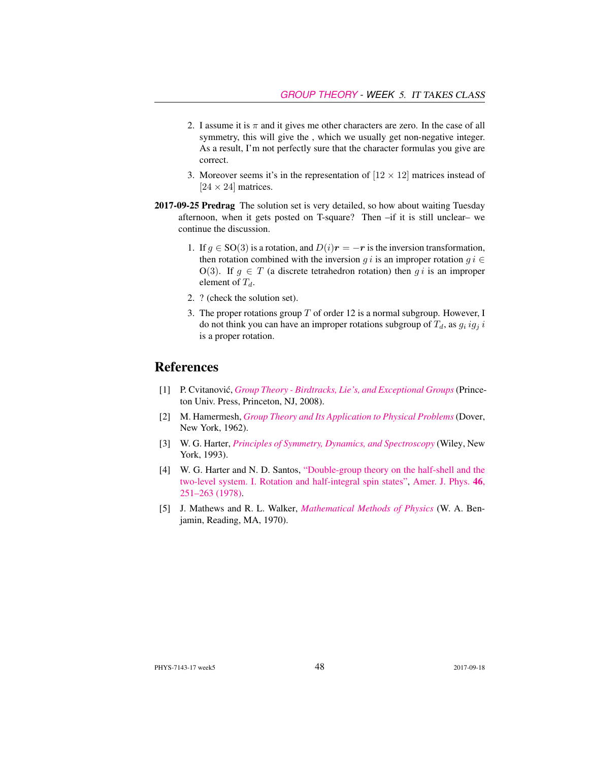- 2. I assume it is  $\pi$  and it gives me other characters are zero. In the case of all symmetry, this will give the , which we usually get non-negative integer. As a result, I'm not perfectly sure that the character formulas you give are correct.
- 3. Moreover seems it's in the representation of  $[12 \times 12]$  matrices instead of  $[24 \times 24]$  matrices.
- 2017-09-25 Predrag The solution set is very detailed, so how about waiting Tuesday afternoon, when it gets posted on T-square? Then –if it is still unclear– we continue the discussion.
	- 1. If  $g \in SO(3)$  is a rotation, and  $D(i)r = -r$  is the inversion transformation, then rotation combined with the inversion g i is an improper rotation  $g i \in$ O(3). If  $q \in T$  (a discrete tetrahedron rotation) then q i is an improper element of  $T_d$ .
	- 2. ? (check the solution set).
	- 3. The proper rotations group  $T$  of order 12 is a normal subgroup. However, I do not think you can have an improper rotations subgroup of  $T_d$ , as  $g_i ig_j i$ is a proper rotation.

## References

- [1] P. Cvitanović, *[Group Theory Birdtracks, Lie's, and Exceptional Groups](http://dx.doi.org/10.1515/9781400837670)* (Princeton Univ. Press, Princeton, NJ, 2008).
- [2] M. Hamermesh, *[Group Theory and Its Application to Physical Problems](http://dx.doi.org/10.1119/1.1941790)* (Dover, New York, 1962).
- [3] W. G. Harter, *[Principles of Symmetry, Dynamics, and Spectroscopy](http://www.uark.edu/ua/modphys/markup/PSDS_Info.html)* (Wiley, New York, 1993).
- [4] W. G. Harter and N. D. Santos, ["Double-group theory on the half-shell and the](http://dx.doi.org/10.1119/1.11134) [two-level system. I. Rotation and half-integral spin states",](http://dx.doi.org/10.1119/1.11134) [Amer. J. Phys.](http://dx.doi.org/10.1119/1.11134) 46, [251–263 \(1978\).](http://dx.doi.org/10.1119/1.11134)
- [5] J. Mathews and R. L. Walker, *[Mathematical Methods of Physics](http://dx.doi.org/10.2307/2316002)* (W. A. Benjamin, Reading, MA, 1970).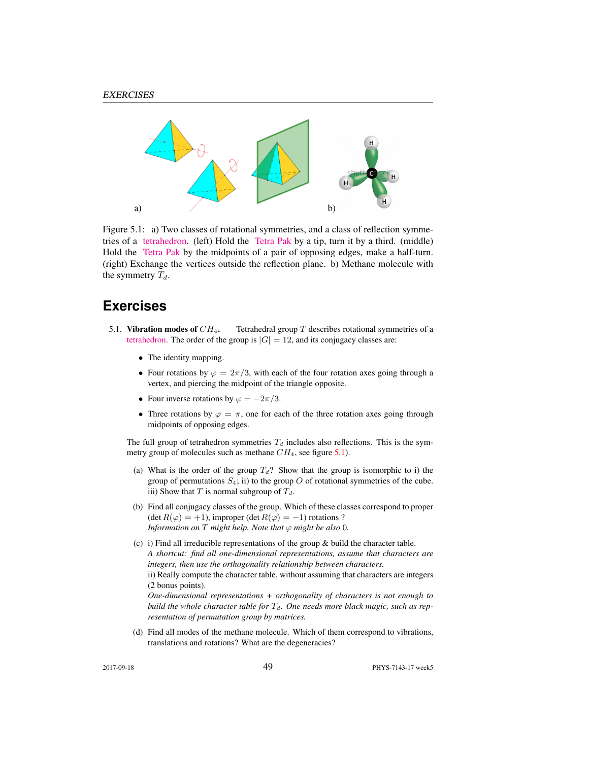

Figure 5.1: a) Two classes of rotational symmetries, and a class of reflection symmetries of a [tetrahedron.](https://flic.kr/p/a5oFBF) (left) Hold the [Tetra Pak](https://www.youtube.com/watch?v=ztOLwig7v5Q) by a tip, turn it by a third. (middle) Hold the [Tetra Pak](https://flic.kr/p/aUdHDx) by the midpoints of a pair of opposing edges, make a half-turn. (right) Exchange the vertices outside the reflection plane. b) Methane molecule with the symmetry  $T_d$ .

## **Exercises**

- 5.1. Vibration modes of  $CH_4$ . Tetrahedral group T describes rotational symmetries of a [tetrahedron.](https://www.youtube.com/watch?v=OsNXsckES7w) The order of the group is  $|G| = 12$ , and its conjugacy classes are:
	- The identity mapping.
	- Four rotations by  $\varphi = 2\pi/3$ , with each of the four rotation axes going through a vertex, and piercing the midpoint of the triangle opposite.
	- Four inverse rotations by  $\varphi = -2\pi/3$ .
	- Three rotations by  $\varphi = \pi$ , one for each of the three rotation axes going through midpoints of opposing edges.

The full group of tetrahedron symmetries  $T_d$  includes also reflections. This is the symmetry group of molecules such as methane  $CH_4$ , see figure 5.1).

- (a) What is the order of the group  $T_d$ ? Show that the group is isomorphic to i) the group of permutations  $S_4$ ; ii) to the group O of rotational symmetries of the cube. iii) Show that T is normal subgroup of  $T_d$ .
- (b) Find all conjugacy classes of the group. Which of these classes correspond to proper (det  $R(\varphi) = +1$ ), improper (det  $R(\varphi) = -1$ ) rotations ? *Information on*  $T$  *might help. Note that*  $\varphi$  *might be also* 0*.*
- (c) i) Find all irreducible representations of the group & build the character table. *A shortcut: find all one-dimensional representations, assume that characters are integers, then use the orthogonality relationship between characters.* ii) Really compute the character table, without assuming that characters are integers (2 bonus points). *One-dimensional representations + orthogonality of characters is not enough to*

*build the whole character table for*  $T<sub>d</sub>$ *. One needs more black magic, such as representation of permutation group by matrices.*

(d) Find all modes of the methane molecule. Which of them correspond to vibrations, translations and rotations? What are the degeneracies?